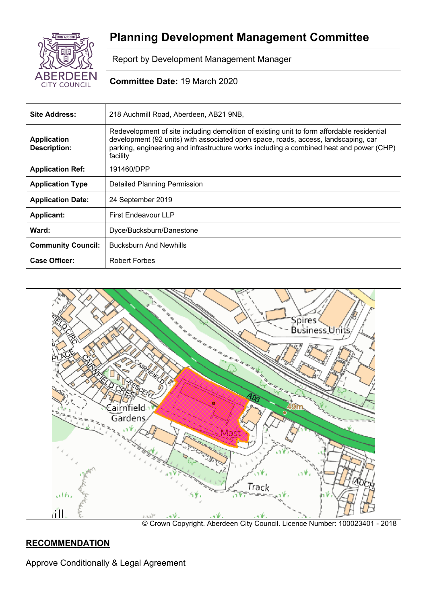

# **Planning Development Management Committee**

Report by Development Management Manager

# **Committee Date:** 19 March 2020

| Site Address:                             | 218 Auchmill Road, Aberdeen, AB21 9NB,                                                                                                                                                                                                                                                  |  |  |
|-------------------------------------------|-----------------------------------------------------------------------------------------------------------------------------------------------------------------------------------------------------------------------------------------------------------------------------------------|--|--|
| <b>Application</b><br><b>Description:</b> | Redevelopment of site including demolition of existing unit to form affordable residential<br>development (92 units) with associated open space, roads, access, landscaping, car<br>parking, engineering and infrastructure works including a combined heat and power (CHP)<br>facility |  |  |
| <b>Application Ref:</b>                   | 191460/DPP                                                                                                                                                                                                                                                                              |  |  |
| <b>Application Type</b>                   | <b>Detailed Planning Permission</b>                                                                                                                                                                                                                                                     |  |  |
| <b>Application Date:</b>                  | 24 September 2019                                                                                                                                                                                                                                                                       |  |  |
| <b>Applicant:</b>                         | First Endeavour LLP                                                                                                                                                                                                                                                                     |  |  |
| Ward:                                     | Dyce/Bucksburn/Danestone                                                                                                                                                                                                                                                                |  |  |
| <b>Community Council:</b>                 | <b>Bucksburn And Newhills</b>                                                                                                                                                                                                                                                           |  |  |
| <b>Case Officer:</b>                      | Robert Forbes                                                                                                                                                                                                                                                                           |  |  |



# **RECOMMENDATION**

Approve Conditionally & Legal Agreement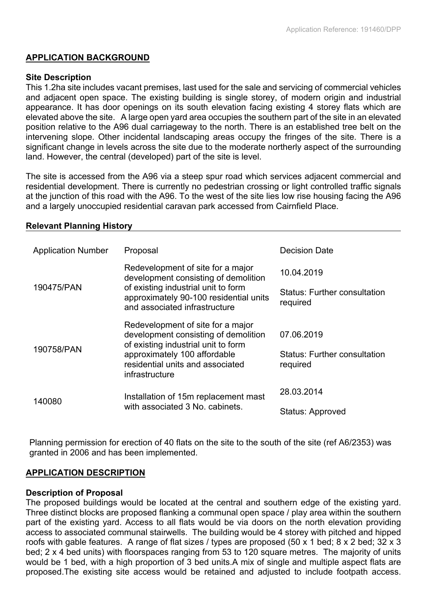#### **APPLICATION BACKGROUND**

#### **Site Description**

This 1.2ha site includes vacant premises, last used for the sale and servicing of commercial vehicles and adjacent open space. The existing building is single storey, of modern origin and industrial appearance. It has door openings on its south elevation facing existing 4 storey flats which are elevated above the site. A large open yard area occupies the southern part of the site in an elevated position relative to the A96 dual carriageway to the north. There is an established tree belt on the intervening slope. Other incidental landscaping areas occupy the fringes of the site. There is a significant change in levels across the site due to the moderate northerly aspect of the surrounding land. However, the central (developed) part of the site is level.

The site is accessed from the A96 via a steep spur road which services adjacent commercial and residential development. There is currently no pedestrian crossing or light controlled traffic signals at the junction of this road with the A96. To the west of the site lies low rise housing facing the A96 and a largely unoccupied residential caravan park accessed from Cairnfield Place.

#### **Relevant Planning History**

| <b>Application Number</b> | Proposal                                                                                                                                                                                               | <b>Decision Date</b>                                          |
|---------------------------|--------------------------------------------------------------------------------------------------------------------------------------------------------------------------------------------------------|---------------------------------------------------------------|
| 190475/PAN                | Redevelopment of site for a major<br>development consisting of demolition<br>of existing industrial unit to form<br>approximately 90-100 residential units<br>and associated infrastructure            | 10.04.2019<br><b>Status: Further consultation</b><br>required |
| 190758/PAN                | Redevelopment of site for a major<br>development consisting of demolition<br>of existing industrial unit to form<br>approximately 100 affordable<br>residential units and associated<br>infrastructure | 07.06.2019<br><b>Status: Further consultation</b><br>required |
| 140080                    | Installation of 15m replacement mast<br>with associated 3 No. cabinets.                                                                                                                                | 28.03.2014<br>Status: Approved                                |

Planning permission for erection of 40 flats on the site to the south of the site (ref A6/2353) was granted in 2006 and has been implemented.

#### **APPLICATION DESCRIPTION**

#### **Description of Proposal**

The proposed buildings would be located at the central and southern edge of the existing yard. Three distinct blocks are proposed flanking a communal open space / play area within the southern part of the existing yard. Access to all flats would be via doors on the north elevation providing access to associated communal stairwells. The building would be 4 storey with pitched and hipped roofs with gable features. A range of flat sizes / types are proposed (50 x 1 bed; 8 x 2 bed; 32 x 3 bed; 2 x 4 bed units) with floorspaces ranging from 53 to 120 square metres. The majority of units would be 1 bed, with a high proportion of 3 bed units.A mix of single and multiple aspect flats are proposed.The existing site access would be retained and adjusted to include footpath access.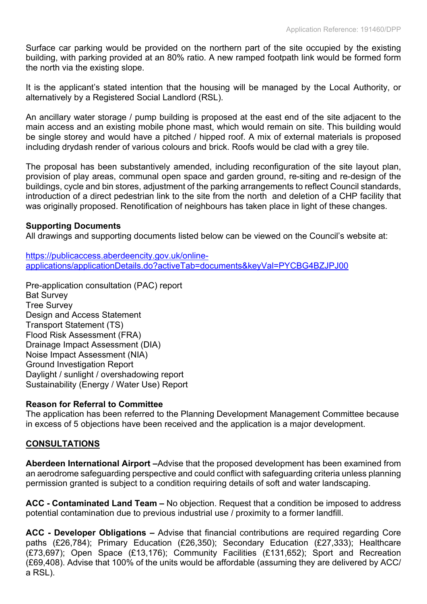Surface car parking would be provided on the northern part of the site occupied by the existing building, with parking provided at an 80% ratio. A new ramped footpath link would be formed form the north via the existing slope.

It is the applicant's stated intention that the housing will be managed by the Local Authority, or alternatively by a Registered Social Landlord (RSL).

An ancillary water storage / pump building is proposed at the east end of the site adjacent to the main access and an existing mobile phone mast, which would remain on site. This building would be single storey and would have a pitched / hipped roof. A mix of external materials is proposed including drydash render of various colours and brick. Roofs would be clad with a grey tile.

The proposal has been substantively amended, including reconfiguration of the site layout plan, provision of play areas, communal open space and garden ground, re-siting and re-design of the buildings, cycle and bin stores, adjustment of the parking arrangements to reflect Council standards, introduction of a direct pedestrian link to the site from the north and deletion of a CHP facility that was originally proposed. Renotification of neighbours has taken place in light of these changes.

#### **Supporting Documents**

All drawings and supporting documents listed below can be viewed on the Council's website at:

[https://publicaccess.aberdeencity.gov.uk/online](https://publicaccess.aberdeencity.gov.uk/online-applications/applicationDetails.do?activeTab=documents&keyVal=PYCBG4BZJPJ00)[applications/applicationDetails.do?activeTab=documents&keyVal=PYCBG4BZJPJ00](https://publicaccess.aberdeencity.gov.uk/online-applications/applicationDetails.do?activeTab=documents&keyVal=PYCBG4BZJPJ00)

Pre-application consultation (PAC) report Bat Survey Tree Survey Design and Access Statement Transport Statement (TS) Flood Risk Assessment (FRA) Drainage Impact Assessment (DIA) Noise Impact Assessment (NIA) Ground Investigation Report Daylight / sunlight / overshadowing report Sustainability (Energy / Water Use) Report

#### **Reason for Referral to Committee**

The application has been referred to the Planning Development Management Committee because in excess of 5 objections have been received and the application is a major development.

#### **CONSULTATIONS**

**Aberdeen International Airport –**Advise that the proposed development has been examined from an aerodrome safeguarding perspective and could conflict with safeguarding criteria unless planning permission granted is subject to a condition requiring details of soft and water landscaping.

**ACC - Contaminated Land Team –** No objection. Request that a condition be imposed to address potential contamination due to previous industrial use / proximity to a former landfill.

**ACC - Developer Obligations –** Advise that financial contributions are required regarding Core paths (£26,784); Primary Education (£26,350); Secondary Education (£27,333); Healthcare (£73,697); Open Space (£13,176); Community Facilities (£131,652); Sport and Recreation (£69,408). Advise that 100% of the units would be affordable (assuming they are delivered by ACC/ a RSL).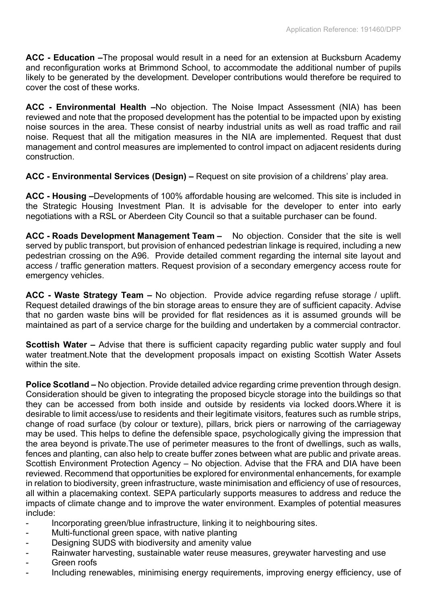**ACC - Education –**The proposal would result in a need for an extension at Bucksburn Academy and reconfiguration works at Brimmond School, to accommodate the additional number of pupils likely to be generated by the development. Developer contributions would therefore be required to cover the cost of these works.

**ACC - Environmental Health –**No objection. The Noise Impact Assessment (NIA) has been reviewed and note that the proposed development has the potential to be impacted upon by existing noise sources in the area. These consist of nearby industrial units as well as road traffic and rail noise. Request that all the mitigation measures in the NIA are implemented. Request that dust management and control measures are implemented to control impact on adjacent residents during construction.

**ACC - Environmental Services (Design) –** Request on site provision of a childrens' play area.

**ACC - Housing –**Developments of 100% affordable housing are welcomed. This site is included in the Strategic Housing Investment Plan. It is advisable for the developer to enter into early negotiations with a RSL or Aberdeen City Council so that a suitable purchaser can be found.

**ACC - Roads Development Management Team –** No objection. Consider that the site is well served by public transport, but provision of enhanced pedestrian linkage is required, including a new pedestrian crossing on the A96. Provide detailed comment regarding the internal site layout and access / traffic generation matters. Request provision of a secondary emergency access route for emergency vehicles.

**ACC - Waste Strategy Team –** No objection. Provide advice regarding refuse storage / uplift. Request detailed drawings of the bin storage areas to ensure they are of sufficient capacity. Advise that no garden waste bins will be provided for flat residences as it is assumed grounds will be maintained as part of a service charge for the building and undertaken by a commercial contractor.

**Scottish Water** – Advise that there is sufficient capacity regarding public water supply and foul water treatment.Note that the development proposals impact on existing Scottish Water Assets within the site.

**Police Scotland –** No objection. Provide detailed advice regarding crime prevention through design. Consideration should be given to integrating the proposed bicycle storage into the buildings so that they can be accessed from both inside and outside by residents via locked doors.Where it is desirable to limit access/use to residents and their legitimate visitors, features such as rumble strips, change of road surface (by colour or texture), pillars, brick piers or narrowing of the carriageway may be used. This helps to define the defensible space, psychologically giving the impression that the area beyond is private.The use of perimeter measures to the front of dwellings, such as walls, fences and planting, can also help to create buffer zones between what are public and private areas. Scottish Environment Protection Agency – No objection. Advise that the FRA and DIA have been reviewed. Recommend that opportunities be explored for environmental enhancements, for example in relation to biodiversity, green infrastructure, waste minimisation and efficiency of use of resources, all within a placemaking context. SEPA particularly supports measures to address and reduce the impacts of climate change and to improve the water environment. Examples of potential measures include:

- Incorporating green/blue infrastructure, linking it to neighbouring sites.
- Multi-functional green space, with native planting
- Designing SUDS with biodiversity and amenity value
- Rainwater harvesting, sustainable water reuse measures, greywater harvesting and use
- Green roofs
- Including renewables, minimising energy requirements, improving energy efficiency, use of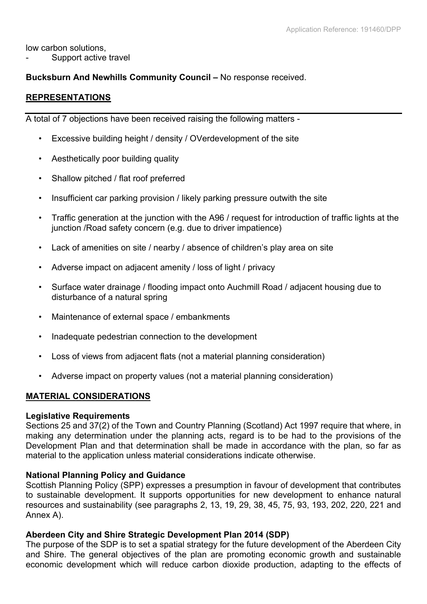low carbon solutions,

Support active travel

## **Bucksburn And Newhills Community Council –** No response received.

## **REPRESENTATIONS**

A total of 7 objections have been received raising the following matters -

- Excessive building height / density / OVerdevelopment of the site
- Aesthetically poor building quality
- Shallow pitched / flat roof preferred
- Insufficient car parking provision / likely parking pressure outwith the site
- Traffic generation at the junction with the A96 / request for introduction of traffic lights at the junction /Road safety concern (e.g. due to driver impatience)
- Lack of amenities on site / nearby / absence of children's play area on site
- Adverse impact on adjacent amenity / loss of light / privacy
- Surface water drainage / flooding impact onto Auchmill Road / adjacent housing due to disturbance of a natural spring
- Maintenance of external space / embankments
- Inadequate pedestrian connection to the development
- Loss of views from adjacent flats (not a material planning consideration)
- Adverse impact on property values (not a material planning consideration)

# **MATERIAL CONSIDERATIONS**

#### **Legislative Requirements**

Sections 25 and 37(2) of the Town and Country Planning (Scotland) Act 1997 require that where, in making any determination under the planning acts, regard is to be had to the provisions of the Development Plan and that determination shall be made in accordance with the plan, so far as material to the application unless material considerations indicate otherwise.

#### **National Planning Policy and Guidance**

Scottish Planning Policy (SPP) expresses a presumption in favour of development that contributes to sustainable development. It supports opportunities for new development to enhance natural resources and sustainability (see paragraphs 2, 13, 19, 29, 38, 45, 75, 93, 193, 202, 220, 221 and Annex A).

#### **Aberdeen City and Shire Strategic Development Plan 2014 (SDP)**

The purpose of the SDP is to set a spatial strategy for the future development of the Aberdeen City and Shire. The general objectives of the plan are promoting economic growth and sustainable economic development which will reduce carbon dioxide production, adapting to the effects of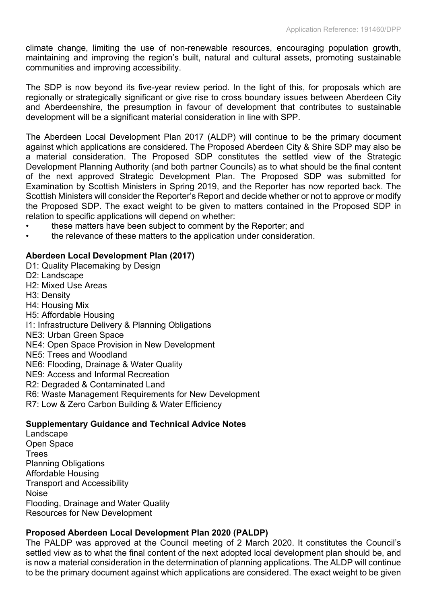climate change, limiting the use of non-renewable resources, encouraging population growth, maintaining and improving the region's built, natural and cultural assets, promoting sustainable communities and improving accessibility.

The SDP is now beyond its five-year review period. In the light of this, for proposals which are regionally or strategically significant or give rise to cross boundary issues between Aberdeen City and Aberdeenshire, the presumption in favour of development that contributes to sustainable development will be a significant material consideration in line with SPP.

The Aberdeen Local Development Plan 2017 (ALDP) will continue to be the primary document against which applications are considered. The Proposed Aberdeen City & Shire SDP may also be a material consideration. The Proposed SDP constitutes the settled view of the Strategic Development Planning Authority (and both partner Councils) as to what should be the final content of the next approved Strategic Development Plan. The Proposed SDP was submitted for Examination by Scottish Ministers in Spring 2019, and the Reporter has now reported back. The Scottish Ministers will consider the Reporter's Report and decide whether or not to approve or modify the Proposed SDP. The exact weight to be given to matters contained in the Proposed SDP in relation to specific applications will depend on whether:

- these matters have been subject to comment by the Reporter; and
- the relevance of these matters to the application under consideration.

# **Aberdeen Local Development Plan (2017)**

D1: Quality Placemaking by Design D2: Landscape H2: Mixed Use Areas H3: Density H4: Housing Mix H5: Affordable Housing I1: Infrastructure Delivery & Planning Obligations NE3: Urban Green Space NE4: Open Space Provision in New Development NE5: Trees and Woodland NE6: Flooding, Drainage & Water Quality NE9: Access and Informal Recreation R2: Degraded & Contaminated Land R6: Waste Management Requirements for New Development R7: Low & Zero Carbon Building & Water Efficiency **Supplementary Guidance and Technical Advice Notes**

Landscape Open Space **Trees** Planning Obligations Affordable Housing Transport and Accessibility Noise Flooding, Drainage and Water Quality Resources for New Development

# **Proposed Aberdeen Local Development Plan 2020 (PALDP)**

The PALDP was approved at the Council meeting of 2 March 2020. It constitutes the Council's settled view as to what the final content of the next adopted local development plan should be, and is now a material consideration in the determination of planning applications. The ALDP will continue to be the primary document against which applications are considered. The exact weight to be given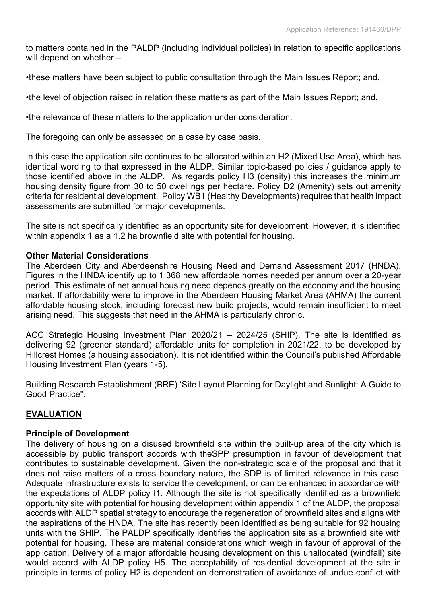to matters contained in the PALDP (including individual policies) in relation to specific applications will depend on whether -

•these matters have been subject to public consultation through the Main Issues Report; and,

•the level of objection raised in relation these matters as part of the Main Issues Report; and,

•the relevance of these matters to the application under consideration.

The foregoing can only be assessed on a case by case basis.

In this case the application site continues to be allocated within an H2 (Mixed Use Area), which has identical wording to that expressed in the ALDP. Similar topic-based policies / guidance apply to those identified above in the ALDP. As regards policy H3 (density) this increases the minimum housing density figure from 30 to 50 dwellings per hectare. Policy D2 (Amenity) sets out amenity criteria for residential development. Policy WB1 (Healthy Developments) requires that health impact assessments are submitted for major developments.

The site is not specifically identified as an opportunity site for development. However, it is identified within appendix 1 as a 1.2 ha brownfield site with potential for housing.

#### **Other Material Considerations**

The Aberdeen City and Aberdeenshire Housing Need and Demand Assessment 2017 (HNDA). Figures in the HNDA identify up to 1,368 new affordable homes needed per annum over a 20-year period. This estimate of net annual housing need depends greatly on the economy and the housing market. If affordability were to improve in the Aberdeen Housing Market Area (AHMA) the current affordable housing stock, including forecast new build projects, would remain insufficient to meet arising need. This suggests that need in the AHMA is particularly chronic.

ACC Strategic Housing Investment Plan 2020/21 – 2024/25 (SHIP). The site is identified as delivering 92 (greener standard) affordable units for completion in 2021/22, to be developed by Hillcrest Homes (a housing association). It is not identified within the Council's published Affordable Housing Investment Plan (years 1-5).

Building Research Establishment (BRE) 'Site Layout Planning for Daylight and Sunlight: A Guide to Good Practice".

#### **EVALUATION**

#### **Principle of Development**

The delivery of housing on a disused brownfield site within the built-up area of the city which is accessible by public transport accords with theSPP presumption in favour of development that contributes to sustainable development. Given the non-strategic scale of the proposal and that it does not raise matters of a cross boundary nature, the SDP is of limited relevance in this case. Adequate infrastructure exists to service the development, or can be enhanced in accordance with the expectations of ALDP policy I1. Although the site is not specifically identified as a brownfield opportunity site with potential for housing development within appendix 1 of the ALDP, the proposal accords with ALDP spatial strategy to encourage the regeneration of brownfield sites and aligns with the aspirations of the HNDA. The site has recently been identified as being suitable for 92 housing units with the SHIP. The PALDP specifically identifies the application site as a brownfield site with potential for housing. These are material considerations which weigh in favour of approval of the application. Delivery of a major affordable housing development on this unallocated (windfall) site would accord with ALDP policy H5. The acceptability of residential development at the site in principle in terms of policy H2 is dependent on demonstration of avoidance of undue conflict with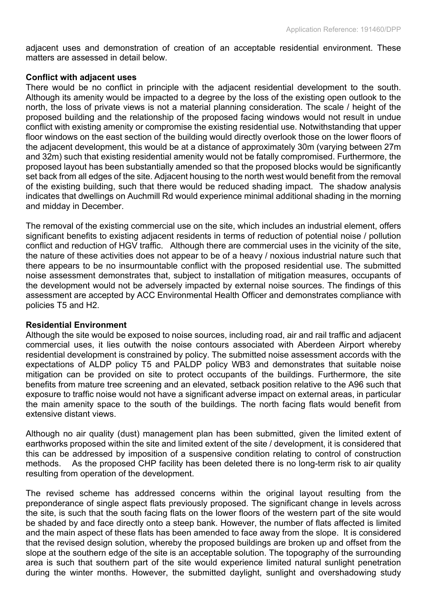adjacent uses and demonstration of creation of an acceptable residential environment. These matters are assessed in detail below.

#### **Conflict with adjacent uses**

There would be no conflict in principle with the adjacent residential development to the south. Although its amenity would be impacted to a degree by the loss of the existing open outlook to the north, the loss of private views is not a material planning consideration. The scale / height of the proposed building and the relationship of the proposed facing windows would not result in undue conflict with existing amenity or compromise the existing residential use. Notwithstanding that upper floor windows on the east section of the building would directly overlook those on the lower floors of the adjacent development, this would be at a distance of approximately 30m (varying between 27m and 32m) such that existing residential amenity would not be fatally compromised. Furthermore, the proposed layout has been substantially amended so that the proposed blocks would be significantly set back from all edges of the site. Adjacent housing to the north west would benefit from the removal of the existing building, such that there would be reduced shading impact. The shadow analysis indicates that dwellings on Auchmill Rd would experience minimal additional shading in the morning and midday in December.

The removal of the existing commercial use on the site, which includes an industrial element, offers significant benefits to existing adjacent residents in terms of reduction of potential noise / pollution conflict and reduction of HGV traffic. Although there are commercial uses in the vicinity of the site, the nature of these activities does not appear to be of a heavy / noxious industrial nature such that there appears to be no insurmountable conflict with the proposed residential use. The submitted noise assessment demonstrates that, subject to installation of mitigation measures, occupants of the development would not be adversely impacted by external noise sources. The findings of this assessment are accepted by ACC Environmental Health Officer and demonstrates compliance with policies T5 and H2.

#### **Residential Environment**

Although the site would be exposed to noise sources, including road, air and rail traffic and adjacent commercial uses, it lies outwith the noise contours associated with Aberdeen Airport whereby residential development is constrained by policy. The submitted noise assessment accords with the expectations of ALDP policy T5 and PALDP policy WB3 and demonstrates that suitable noise mitigation can be provided on site to protect occupants of the buildings. Furthermore, the site benefits from mature tree screening and an elevated, setback position relative to the A96 such that exposure to traffic noise would not have a significant adverse impact on external areas, in particular the main amenity space to the south of the buildings. The north facing flats would benefit from extensive distant views.

Although no air quality (dust) management plan has been submitted, given the limited extent of earthworks proposed within the site and limited extent of the site / development, it is considered that this can be addressed by imposition of a suspensive condition relating to control of construction methods. As the proposed CHP facility has been deleted there is no long-term risk to air quality resulting from operation of the development.

The revised scheme has addressed concerns within the original layout resulting from the preponderance of single aspect flats previously proposed. The significant change in levels across the site, is such that the south facing flats on the lower floors of the western part of the site would be shaded by and face directly onto a steep bank. However, the number of flats affected is limited and the main aspect of these flats has been amended to face away from the slope. It is considered that the revised design solution, whereby the proposed buildings are broken up and offset from the slope at the southern edge of the site is an acceptable solution. The topography of the surrounding area is such that southern part of the site would experience limited natural sunlight penetration during the winter months. However, the submitted daylight, sunlight and overshadowing study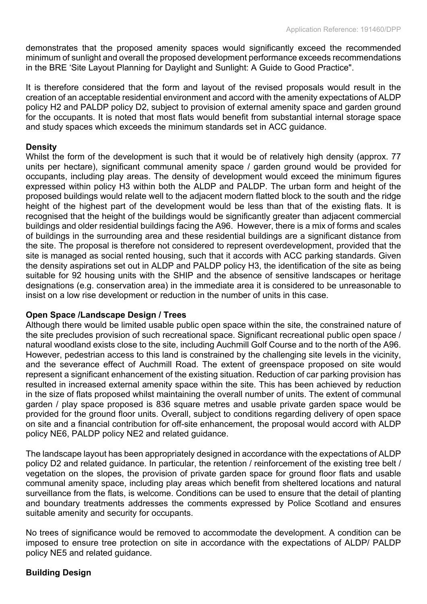demonstrates that the proposed amenity spaces would significantly exceed the recommended minimum of sunlight and overall the proposed development performance exceeds recommendations in the BRE 'Site Layout Planning for Daylight and Sunlight: A Guide to Good Practice".

It is therefore considered that the form and layout of the revised proposals would result in the creation of an acceptable residential environment and accord with the amenity expectations of ALDP policy H2 and PALDP policy D2, subject to provision of external amenity space and garden ground for the occupants. It is noted that most flats would benefit from substantial internal storage space and study spaces which exceeds the minimum standards set in ACC guidance.

#### **Density**

Whilst the form of the development is such that it would be of relatively high density (approx. 77 units per hectare), significant communal amenity space / garden ground would be provided for occupants, including play areas. The density of development would exceed the minimum figures expressed within policy H3 within both the ALDP and PALDP. The urban form and height of the proposed buildings would relate well to the adjacent modern flatted block to the south and the ridge height of the highest part of the development would be less than that of the existing flats. It is recognised that the height of the buildings would be significantly greater than adjacent commercial buildings and older residential buildings facing the A96. However, there is a mix of forms and scales of buildings in the surrounding area and these residential buildings are a significant distance from the site. The proposal is therefore not considered to represent overdevelopment, provided that the site is managed as social rented housing, such that it accords with ACC parking standards. Given the density aspirations set out in ALDP and PALDP policy H3, the identification of the site as being suitable for 92 housing units with the SHIP and the absence of sensitive landscapes or heritage designations (e.g. conservation area) in the immediate area it is considered to be unreasonable to insist on a low rise development or reduction in the number of units in this case.

#### **Open Space /Landscape Design / Trees**

Although there would be limited usable public open space within the site, the constrained nature of the site precludes provision of such recreational space. Significant recreational public open space / natural woodland exists close to the site, including Auchmill Golf Course and to the north of the A96. However, pedestrian access to this land is constrained by the challenging site levels in the vicinity, and the severance effect of Auchmill Road. The extent of greenspace proposed on site would represent a significant enhancement of the existing situation. Reduction of car parking provision has resulted in increased external amenity space within the site. This has been achieved by reduction in the size of flats proposed whilst maintaining the overall number of units. The extent of communal garden / play space proposed is 836 square metres and usable private garden space would be provided for the ground floor units. Overall, subject to conditions regarding delivery of open space on site and a financial contribution for off-site enhancement, the proposal would accord with ALDP policy NE6, PALDP policy NE2 and related guidance.

The landscape layout has been appropriately designed in accordance with the expectations of ALDP policy D2 and related guidance. In particular, the retention / reinforcement of the existing tree belt / vegetation on the slopes, the provision of private garden space for ground floor flats and usable communal amenity space, including play areas which benefit from sheltered locations and natural surveillance from the flats, is welcome. Conditions can be used to ensure that the detail of planting and boundary treatments addresses the comments expressed by Police Scotland and ensures suitable amenity and security for occupants.

No trees of significance would be removed to accommodate the development. A condition can be imposed to ensure tree protection on site in accordance with the expectations of ALDP/ PALDP policy NE5 and related guidance.

#### **Building Design**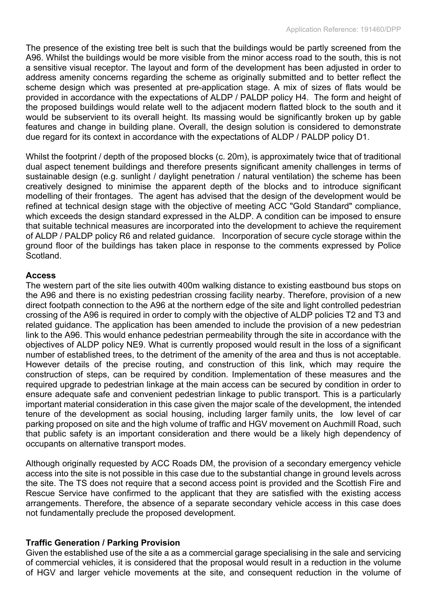The presence of the existing tree belt is such that the buildings would be partly screened from the A96. Whilst the buildings would be more visible from the minor access road to the south, this is not a sensitive visual receptor. The layout and form of the development has been adjusted in order to address amenity concerns regarding the scheme as originally submitted and to better reflect the scheme design which was presented at pre-application stage. A mix of sizes of flats would be provided in accordance with the expectations of ALDP / PALDP policy H4. The form and height of the proposed buildings would relate well to the adjacent modern flatted block to the south and it would be subservient to its overall height. Its massing would be significantly broken up by gable features and change in building plane. Overall, the design solution is considered to demonstrate due regard for its context in accordance with the expectations of ALDP / PALDP policy D1.

Whilst the footprint / depth of the proposed blocks (c. 20m), is approximately twice that of traditional dual aspect tenement buildings and therefore presents significant amenity challenges in terms of sustainable design (e.g. sunlight / daylight penetration / natural ventilation) the scheme has been creatively designed to minimise the apparent depth of the blocks and to introduce significant modelling of their frontages. The agent has advised that the design of the development would be refined at technical design stage with the objective of meeting ACC "Gold Standard" compliance, which exceeds the design standard expressed in the ALDP. A condition can be imposed to ensure that suitable technical measures are incorporated into the development to achieve the requirement of ALDP / PALDP policy R6 and related guidance. Incorporation of secure cycle storage within the ground floor of the buildings has taken place in response to the comments expressed by Police Scotland.

#### **Access**

The western part of the site lies outwith 400m walking distance to existing eastbound bus stops on the A96 and there is no existing pedestrian crossing facility nearby. Therefore, provision of a new direct footpath connection to the A96 at the northern edge of the site and light controlled pedestrian crossing of the A96 is required in order to comply with the objective of ALDP policies T2 and T3 and related guidance. The application has been amended to include the provision of a new pedestrian link to the A96. This would enhance pedestrian permeability through the site in accordance with the objectives of ALDP policy NE9. What is currently proposed would result in the loss of a significant number of established trees, to the detriment of the amenity of the area and thus is not acceptable. However details of the precise routing, and construction of this link, which may require the construction of steps, can be required by condition. Implementation of these measures and the required upgrade to pedestrian linkage at the main access can be secured by condition in order to ensure adequate safe and convenient pedestrian linkage to public transport. This is a particularly important material consideration in this case given the major scale of the development, the intended tenure of the development as social housing, including larger family units, the low level of car parking proposed on site and the high volume of traffic and HGV movement on Auchmill Road, such that public safety is an important consideration and there would be a likely high dependency of occupants on alternative transport modes.

Although originally requested by ACC Roads DM, the provision of a secondary emergency vehicle access into the site is not possible in this case due to the substantial change in ground levels across the site. The TS does not require that a second access point is provided and the Scottish Fire and Rescue Service have confirmed to the applicant that they are satisfied with the existing access arrangements. Therefore, the absence of a separate secondary vehicle access in this case does not fundamentally preclude the proposed development.

#### **Traffic Generation / Parking Provision**

Given the established use of the site a as a commercial garage specialising in the sale and servicing of commercial vehicles, it is considered that the proposal would result in a reduction in the volume of HGV and larger vehicle movements at the site, and consequent reduction in the volume of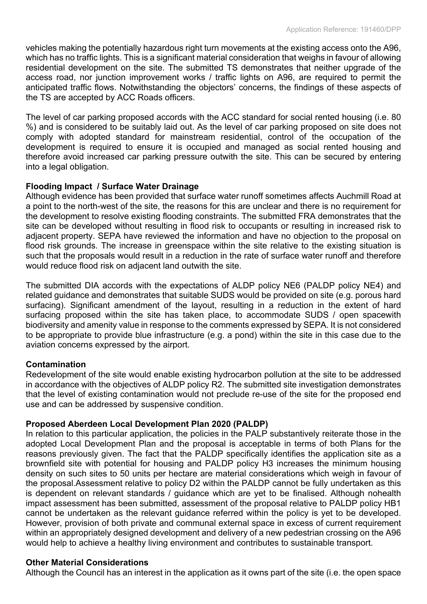vehicles making the potentially hazardous right turn movements at the existing access onto the A96, which has no traffic lights. This is a significant material consideration that weighs in favour of allowing residential development on the site. The submitted TS demonstrates that neither upgrade of the access road, nor junction improvement works / traffic lights on A96, are required to permit the anticipated traffic flows. Notwithstanding the objectors' concerns, the findings of these aspects of the TS are accepted by ACC Roads officers.

The level of car parking proposed accords with the ACC standard for social rented housing (i.e. 80 %) and is considered to be suitably laid out. As the level of car parking proposed on site does not comply with adopted standard for mainstream residential, control of the occupation of the development is required to ensure it is occupied and managed as social rented housing and therefore avoid increased car parking pressure outwith the site. This can be secured by entering into a legal obligation.

### **Flooding Impact / Surface Water Drainage**

Although evidence has been provided that surface water runoff sometimes affects Auchmill Road at a point to the north-west of the site, the reasons for this are unclear and there is no requirement for the development to resolve existing flooding constraints. The submitted FRA demonstrates that the site can be developed without resulting in flood risk to occupants or resulting in increased risk to adjacent property. SEPA have reviewed the information and have no objection to the proposal on flood risk grounds. The increase in greenspace within the site relative to the existing situation is such that the proposals would result in a reduction in the rate of surface water runoff and therefore would reduce flood risk on adjacent land outwith the site.

The submitted DIA accords with the expectations of ALDP policy NE6 (PALDP policy NE4) and related guidance and demonstrates that suitable SUDS would be provided on site (e.g. porous hard surfacing). Significant amendment of the layout, resulting in a reduction in the extent of hard surfacing proposed within the site has taken place, to accommodate SUDS / open spacewith biodiversity and amenity value in response to the comments expressed by SEPA. It is not considered to be appropriate to provide blue infrastructure (e.g. a pond) within the site in this case due to the aviation concerns expressed by the airport.

#### **Contamination**

Redevelopment of the site would enable existing hydrocarbon pollution at the site to be addressed in accordance with the objectives of ALDP policy R2. The submitted site investigation demonstrates that the level of existing contamination would not preclude re-use of the site for the proposed end use and can be addressed by suspensive condition.

#### **Proposed Aberdeen Local Development Plan 2020 (PALDP)**

In relation to this particular application, the policies in the PALP substantively reiterate those in the adopted Local Development Plan and the proposal is acceptable in terms of both Plans for the reasons previously given. The fact that the PALDP specifically identifies the application site as a brownfield site with potential for housing and PALDP policy H3 increases the minimum housing density on such sites to 50 units per hectare are material considerations which weigh in favour of the proposal.Assessment relative to policy D2 within the PALDP cannot be fully undertaken as this is dependent on relevant standards / guidance which are yet to be finalised. Although nohealth impact assessment has been submitted, assessment of the proposal relative to PALDP policy HB1 cannot be undertaken as the relevant guidance referred within the policy is yet to be developed. However, provision of both private and communal external space in excess of current requirement within an appropriately designed development and delivery of a new pedestrian crossing on the A96 would help to achieve a healthy living environment and contributes to sustainable transport.

#### **Other Material Considerations**

Although the Council has an interest in the application as it owns part of the site (i.e. the open space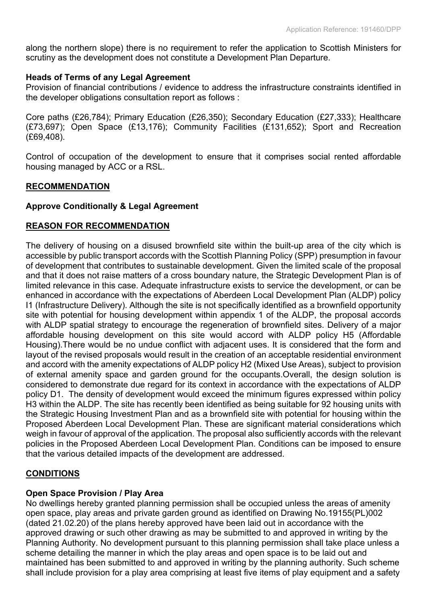along the northern slope) there is no requirement to refer the application to Scottish Ministers for scrutiny as the development does not constitute a Development Plan Departure.

#### **Heads of Terms of any Legal Agreement**

Provision of financial contributions / evidence to address the infrastructure constraints identified in the developer obligations consultation report as follows :

Core paths (£26,784); Primary Education (£26,350); Secondary Education (£27,333); Healthcare (£73,697); Open Space (£13,176); Community Facilities (£131,652); Sport and Recreation (£69,408).

Control of occupation of the development to ensure that it comprises social rented affordable housing managed by ACC or a RSL.

#### **RECOMMENDATION**

#### **Approve Conditionally & Legal Agreement**

#### **REASON FOR RECOMMENDATION**

The delivery of housing on a disused brownfield site within the built-up area of the city which is accessible by public transport accords with the Scottish Planning Policy (SPP) presumption in favour of development that contributes to sustainable development. Given the limited scale of the proposal and that it does not raise matters of a cross boundary nature, the Strategic Development Plan is of limited relevance in this case. Adequate infrastructure exists to service the development, or can be enhanced in accordance with the expectations of Aberdeen Local Development Plan (ALDP) policy I1 (Infrastructure Delivery). Although the site is not specifically identified as a brownfield opportunity site with potential for housing development within appendix 1 of the ALDP, the proposal accords with ALDP spatial strategy to encourage the regeneration of brownfield sites. Delivery of a major affordable housing development on this site would accord with ALDP policy H5 (Affordable Housing).There would be no undue conflict with adjacent uses. It is considered that the form and layout of the revised proposals would result in the creation of an acceptable residential environment and accord with the amenity expectations of ALDP policy H2 (Mixed Use Areas), subject to provision of external amenity space and garden ground for the occupants.Overall, the design solution is considered to demonstrate due regard for its context in accordance with the expectations of ALDP policy D1. The density of development would exceed the minimum figures expressed within policy H3 within the ALDP. The site has recently been identified as being suitable for 92 housing units with the Strategic Housing Investment Plan and as a brownfield site with potential for housing within the Proposed Aberdeen Local Development Plan. These are significant material considerations which weigh in favour of approval of the application. The proposal also sufficiently accords with the relevant policies in the Proposed Aberdeen Local Development Plan. Conditions can be imposed to ensure that the various detailed impacts of the development are addressed.

#### **CONDITIONS**

#### **Open Space Provision / Play Area**

No dwellings hereby granted planning permission shall be occupied unless the areas of amenity open space, play areas and private garden ground as identified on Drawing No.19155(PL)002 (dated 21.02.20) of the plans hereby approved have been laid out in accordance with the approved drawing or such other drawing as may be submitted to and approved in writing by the Planning Authority. No development pursuant to this planning permission shall take place unless a scheme detailing the manner in which the play areas and open space is to be laid out and maintained has been submitted to and approved in writing by the planning authority. Such scheme shall include provision for a play area comprising at least five items of play equipment and a safety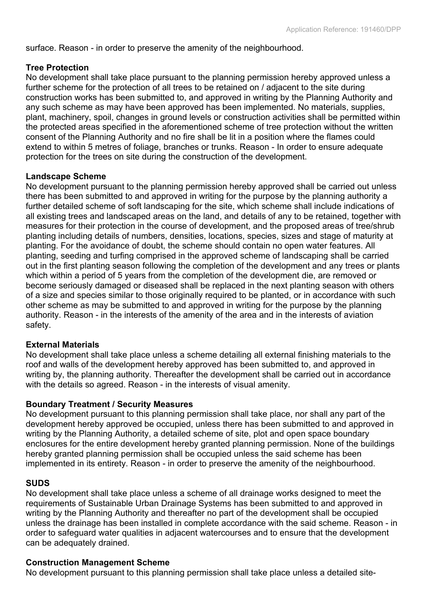surface. Reason - in order to preserve the amenity of the neighbourhood.

#### **Tree Protection**

No development shall take place pursuant to the planning permission hereby approved unless a further scheme for the protection of all trees to be retained on / adjacent to the site during construction works has been submitted to, and approved in writing by the Planning Authority and any such scheme as may have been approved has been implemented. No materials, supplies, plant, machinery, spoil, changes in ground levels or construction activities shall be permitted within the protected areas specified in the aforementioned scheme of tree protection without the written consent of the Planning Authority and no fire shall be lit in a position where the flames could extend to within 5 metres of foliage, branches or trunks. Reason - In order to ensure adequate protection for the trees on site during the construction of the development.

#### **Landscape Scheme**

No development pursuant to the planning permission hereby approved shall be carried out unless there has been submitted to and approved in writing for the purpose by the planning authority a further detailed scheme of soft landscaping for the site, which scheme shall include indications of all existing trees and landscaped areas on the land, and details of any to be retained, together with measures for their protection in the course of development, and the proposed areas of tree/shrub planting including details of numbers, densities, locations, species, sizes and stage of maturity at planting. For the avoidance of doubt, the scheme should contain no open water features. All planting, seeding and turfing comprised in the approved scheme of landscaping shall be carried out in the first planting season following the completion of the development and any trees or plants which within a period of 5 years from the completion of the development die, are removed or become seriously damaged or diseased shall be replaced in the next planting season with others of a size and species similar to those originally required to be planted, or in accordance with such other scheme as may be submitted to and approved in writing for the purpose by the planning authority. Reason - in the interests of the amenity of the area and in the interests of aviation safety.

#### **External Materials**

No development shall take place unless a scheme detailing all external finishing materials to the roof and walls of the development hereby approved has been submitted to, and approved in writing by, the planning authority. Thereafter the development shall be carried out in accordance with the details so agreed. Reason - in the interests of visual amenity.

#### **Boundary Treatment / Security Measures**

No development pursuant to this planning permission shall take place, nor shall any part of the development hereby approved be occupied, unless there has been submitted to and approved in writing by the Planning Authority, a detailed scheme of site, plot and open space boundary enclosures for the entire development hereby granted planning permission. None of the buildings hereby granted planning permission shall be occupied unless the said scheme has been implemented in its entirety. Reason - in order to preserve the amenity of the neighbourhood.

#### **SUDS**

No development shall take place unless a scheme of all drainage works designed to meet the requirements of Sustainable Urban Drainage Systems has been submitted to and approved in writing by the Planning Authority and thereafter no part of the development shall be occupied unless the drainage has been installed in complete accordance with the said scheme. Reason - in order to safeguard water qualities in adjacent watercourses and to ensure that the development can be adequately drained.

#### **Construction Management Scheme**

No development pursuant to this planning permission shall take place unless a detailed site-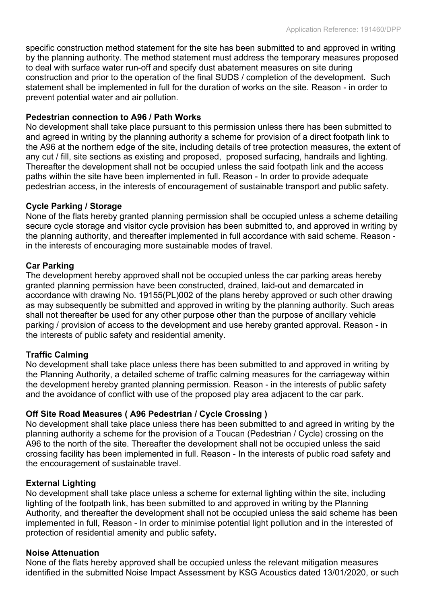specific construction method statement for the site has been submitted to and approved in writing by the planning authority. The method statement must address the temporary measures proposed to deal with surface water run-off and specify dust abatement measures on site during construction and prior to the operation of the final SUDS / completion of the development. Such statement shall be implemented in full for the duration of works on the site. Reason - in order to prevent potential water and air pollution.

#### **Pedestrian connection to A96 / Path Works**

No development shall take place pursuant to this permission unless there has been submitted to and agreed in writing by the planning authority a scheme for provision of a direct footpath link to the A96 at the northern edge of the site, including details of tree protection measures, the extent of any cut / fill, site sections as existing and proposed, proposed surfacing, handrails and lighting. Thereafter the development shall not be occupied unless the said footpath link and the access paths within the site have been implemented in full. Reason - In order to provide adequate pedestrian access, in the interests of encouragement of sustainable transport and public safety.

#### **Cycle Parking / Storage**

None of the flats hereby granted planning permission shall be occupied unless a scheme detailing secure cycle storage and visitor cycle provision has been submitted to, and approved in writing by the planning authority, and thereafter implemented in full accordance with said scheme. Reason in the interests of encouraging more sustainable modes of travel.

#### **Car Parking**

The development hereby approved shall not be occupied unless the car parking areas hereby granted planning permission have been constructed, drained, laid-out and demarcated in accordance with drawing No. 19155(PL)002 of the plans hereby approved or such other drawing as may subsequently be submitted and approved in writing by the planning authority. Such areas shall not thereafter be used for any other purpose other than the purpose of ancillary vehicle parking / provision of access to the development and use hereby granted approval. Reason - in the interests of public safety and residential amenity.

#### **Traffic Calming**

No development shall take place unless there has been submitted to and approved in writing by the Planning Authority, a detailed scheme of traffic calming measures for the carriageway within the development hereby granted planning permission. Reason - in the interests of public safety and the avoidance of conflict with use of the proposed play area adjacent to the car park.

#### **Off Site Road Measures ( A96 Pedestrian / Cycle Crossing )**

No development shall take place unless there has been submitted to and agreed in writing by the planning authority a scheme for the provision of a Toucan (Pedestrian / Cycle) crossing on the A96 to the north of the site. Thereafter the development shall not be occupied unless the said crossing facility has been implemented in full. Reason - In the interests of public road safety and the encouragement of sustainable travel.

#### **External Lighting**

No development shall take place unless a scheme for external lighting within the site, including lighting of the footpath link, has been submitted to and approved in writing by the Planning Authority, and thereafter the development shall not be occupied unless the said scheme has been implemented in full, Reason - In order to minimise potential light pollution and in the interested of protection of residential amenity and public safety**.**

#### **Noise Attenuation**

None of the flats hereby approved shall be occupied unless the relevant mitigation measures identified in the submitted Noise Impact Assessment by KSG Acoustics dated 13/01/2020, or such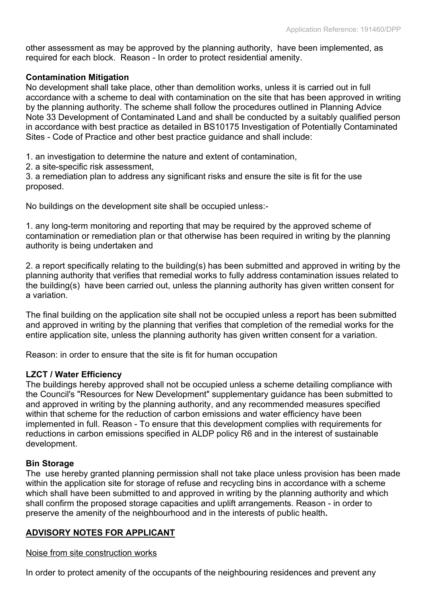other assessment as may be approved by the planning authority, have been implemented, as required for each block. Reason - In order to protect residential amenity.

#### **Contamination Mitigation**

No development shall take place, other than demolition works, unless it is carried out in full accordance with a scheme to deal with contamination on the site that has been approved in writing by the planning authority. The scheme shall follow the procedures outlined in Planning Advice Note 33 Development of Contaminated Land and shall be conducted by a suitably qualified person in accordance with best practice as detailed in BS10175 Investigation of Potentially Contaminated Sites - Code of Practice and other best practice guidance and shall include:

1. an investigation to determine the nature and extent of contamination,

2. a site-specific risk assessment,

3. a remediation plan to address any significant risks and ensure the site is fit for the use proposed.

No buildings on the development site shall be occupied unless:-

1. any long-term monitoring and reporting that may be required by the approved scheme of contamination or remediation plan or that otherwise has been required in writing by the planning authority is being undertaken and

2. a report specifically relating to the building(s) has been submitted and approved in writing by the planning authority that verifies that remedial works to fully address contamination issues related to the building(s) have been carried out, unless the planning authority has given written consent for a variation.

The final building on the application site shall not be occupied unless a report has been submitted and approved in writing by the planning that verifies that completion of the remedial works for the entire application site, unless the planning authority has given written consent for a variation.

Reason: in order to ensure that the site is fit for human occupation

# **LZCT / Water Efficiency**

The buildings hereby approved shall not be occupied unless a scheme detailing compliance with the Council's "Resources for New Development" supplementary guidance has been submitted to and approved in writing by the planning authority, and any recommended measures specified within that scheme for the reduction of carbon emissions and water efficiency have been implemented in full. Reason - To ensure that this development complies with requirements for reductions in carbon emissions specified in ALDP policy R6 and in the interest of sustainable development.

# **Bin Storage**

The use hereby granted planning permission shall not take place unless provision has been made within the application site for storage of refuse and recycling bins in accordance with a scheme which shall have been submitted to and approved in writing by the planning authority and which shall confirm the proposed storage capacities and uplift arrangements. Reason - in order to preserve the amenity of the neighbourhood and in the interests of public health**.**

# **ADVISORY NOTES FOR APPLICANT**

#### Noise from site construction works

In order to protect amenity of the occupants of the neighbouring residences and prevent any